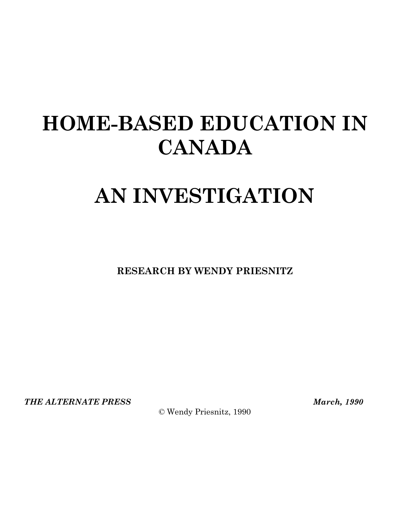## **HOME-BASED EDUCATION IN CANADA**

# **AN INVESTIGATION**

**RESEARCH BY WENDY PRIESNITZ** 

*THE ALTERNATE PRESS March, 1990* 

© Wendy Priesnitz, 1990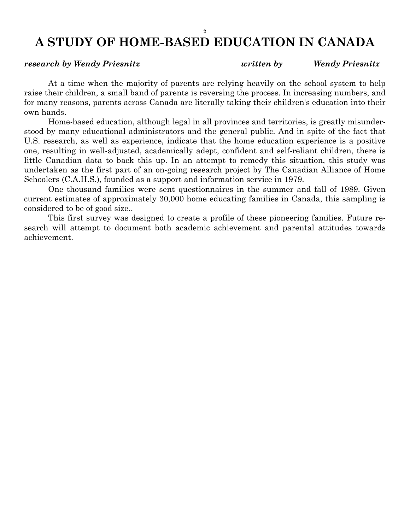### **2 A STUDY OF HOME-BASED EDUCATION IN CANADA**

 At a time when the majority of parents are relying heavily on the school system to help raise their children, a small band of parents is reversing the process. In increasing numbers, and for many reasons, parents across Canada are literally taking their children's education into their own hands.

 Home-based education, although legal in all provinces and territories, is greatly misunderstood by many educational administrators and the general public. And in spite of the fact that U.S. research, as well as experience, indicate that the home education experience is a positive one, resulting in well-adjusted, academically adept, confident and self-reliant children, there is little Canadian data to back this up. In an attempt to remedy this situation, this study was undertaken as the first part of an on-going research project by The Canadian Alliance of Home Schoolers (C.A.H.S.), founded as a support and information service in 1979.

 One thousand families were sent questionnaires in the summer and fall of 1989. Given current estimates of approximately 30,000 home educating families in Canada, this sampling is considered to be of good size..

 This first survey was designed to create a profile of these pioneering families. Future research will attempt to document both academic achievement and parental attitudes towards achievement.

#### *research by Wendy Priesnitz written by Wendy Priesnitz*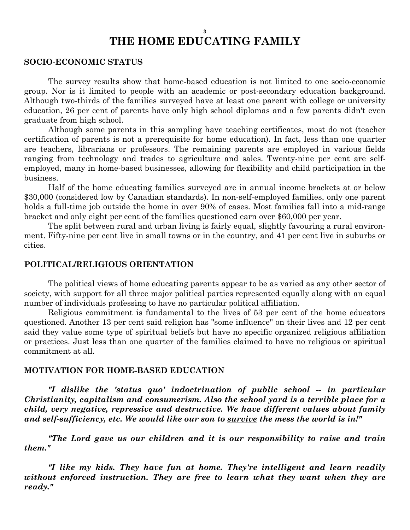#### **3 THE HOME EDUCATING FAMILY**

#### **SOCIO-ECONOMIC STATUS**

 The survey results show that home-based education is not limited to one socio-economic group. Nor is it limited to people with an academic or post-secondary education background. Although two-thirds of the families surveyed have at least one parent with college or university education, 26 per cent of parents have only high school diplomas and a few parents didn't even graduate from high school.

 Although some parents in this sampling have teaching certificates, most do not (teacher certification of parents is not a prerequisite for home education). In fact, less than one quarter are teachers, librarians or professors. The remaining parents are employed in various fields ranging from technology and trades to agriculture and sales. Twenty-nine per cent are selfemployed, many in home-based businesses, allowing for flexibility and child participation in the business.

 Half of the home educating families surveyed are in annual income brackets at or below \$30,000 (considered low by Canadian standards). In non-self-employed families, only one parent holds a full-time job outside the home in over 90% of cases. Most families fall into a mid-range bracket and only eight per cent of the families questioned earn over \$60,000 per year.

 The split between rural and urban living is fairly equal, slightly favouring a rural environment. Fifty-nine per cent live in small towns or in the country, and 41 per cent live in suburbs or cities.

#### **POLITICAL/RELIGIOUS ORIENTATION**

 The political views of home educating parents appear to be as varied as any other sector of society, with support for all three major political parties represented equally along with an equal number of individuals professing to have no particular political affiliation.

 Religious commitment is fundamental to the lives of 53 per cent of the home educators questioned. Another 13 per cent said religion has "some influence" on their lives and 12 per cent said they value some type of spiritual beliefs but have no specific organized religious affiliation or practices. Just less than one quarter of the families claimed to have no religious or spiritual commitment at all.

#### **MOTIVATION FOR HOME-BASED EDUCATION**

 *"I dislike the 'status quo' indoctrination of public school -- in particular Christianity, capitalism and consumerism. Also the school yard is a terrible place for a child, very negative, repressive and destructive. We have different values about family and self-sufficiency, etc. We would like our son to survive the mess the world is in!"* 

 *"The Lord gave us our children and it is our responsibility to raise and train them."* 

 *"I like my kids. They have fun at home. They're intelligent and learn readily without enforced instruction. They are free to learn what they want when they are ready."*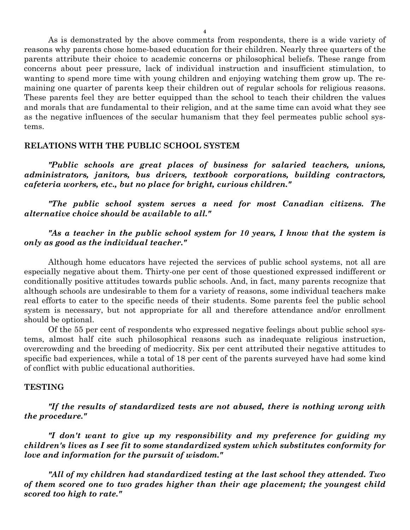As is demonstrated by the above comments from respondents, there is a wide variety of reasons why parents chose home-based education for their children. Nearly three quarters of the parents attribute their choice to academic concerns or philosophical beliefs. These range from concerns about peer pressure, lack of individual instruction and insufficient stimulation, to wanting to spend more time with young children and enjoying watching them grow up. The remaining one quarter of parents keep their children out of regular schools for religious reasons. These parents feel they are better equipped than the school to teach their children the values and morals that are fundamental to their religion, and at the same time can avoid what they see as the negative influences of the secular humanism that they feel permeates public school systems.

#### **RELATIONS WITH THE PUBLIC SCHOOL SYSTEM**

 *"Public schools are great places of business for salaried teachers, unions, administrators, janitors, bus drivers, textbook corporations, building contractors, cafeteria workers, etc., but no place for bright, curious children."* 

 *"The public school system serves a need for most Canadian citizens. The alternative choice should be available to all."* 

 *"As a teacher in the public school system for 10 years, I know that the system is only as good as the individual teacher."* 

 Although home educators have rejected the services of public school systems, not all are especially negative about them. Thirty-one per cent of those questioned expressed indifferent or conditionally positive attitudes towards public schools. And, in fact, many parents recognize that although schools are undesirable to them for a variety of reasons, some individual teachers make real efforts to cater to the specific needs of their students. Some parents feel the public school system is necessary, but not appropriate for all and therefore attendance and/or enrollment should be optional.

 Of the 55 per cent of respondents who expressed negative feelings about public school systems, almost half cite such philosophical reasons such as inadequate religious instruction, overcrowding and the breeding of mediocrity. Six per cent attributed their negative attitudes to specific bad experiences, while a total of 18 per cent of the parents surveyed have had some kind of conflict with public educational authorities.

#### **TESTING**

 *"If the results of standardized tests are not abused, there is nothing wrong with the procedure."* 

 *"I don't want to give up my responsibility and my preference for guiding my children's lives as I see fit to some standardized system which substitutes conformity for love and information for the pursuit of wisdom."* 

 *"All of my children had standardized testing at the last school they attended. Two of them scored one to two grades higher than their age placement; the youngest child scored too high to rate."*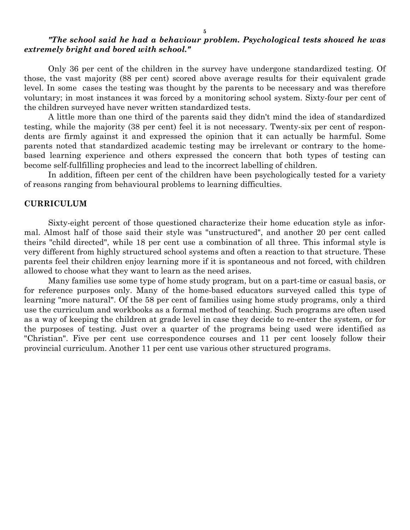#### *"The school said he had a behaviour problem. Psychological tests showed he was extremely bright and bored with school."*

 Only 36 per cent of the children in the survey have undergone standardized testing. Of those, the vast majority (88 per cent) scored above average results for their equivalent grade level. In some cases the testing was thought by the parents to be necessary and was therefore voluntary; in most instances it was forced by a monitoring school system. Sixty-four per cent of the children surveyed have never written standardized tests.

 A little more than one third of the parents said they didn't mind the idea of standardized testing, while the majority (38 per cent) feel it is not necessary. Twenty-six per cent of respondents are firmly against it and expressed the opinion that it can actually be harmful. Some parents noted that standardized academic testing may be irrelevant or contrary to the homebased learning experience and others expressed the concern that both types of testing can become self-fullfilling prophecies and lead to the incorrect labelling of children.

 In addition, fifteen per cent of the children have been psychologically tested for a variety of reasons ranging from behavioural problems to learning difficulties.

#### **CURRICULUM**

 Sixty-eight percent of those questioned characterize their home education style as informal. Almost half of those said their style was "unstructured", and another 20 per cent called theirs "child directed", while 18 per cent use a combination of all three. This informal style is very different from highly structured school systems and often a reaction to that structure. These parents feel their children enjoy learning more if it is spontaneous and not forced, with children allowed to choose what they want to learn as the need arises.

 Many families use some type of home study program, but on a part-time or casual basis, or for reference purposes only. Many of the home-based educators surveyed called this type of learning "more natural". Of the 58 per cent of families using home study programs, only a third use the curriculum and workbooks as a formal method of teaching. Such programs are often used as a way of keeping the children at grade level in case they decide to re-enter the system, or for the purposes of testing. Just over a quarter of the programs being used were identified as "Christian". Five per cent use correspondence courses and 11 per cent loosely follow their provincial curriculum. Another 11 per cent use various other structured programs.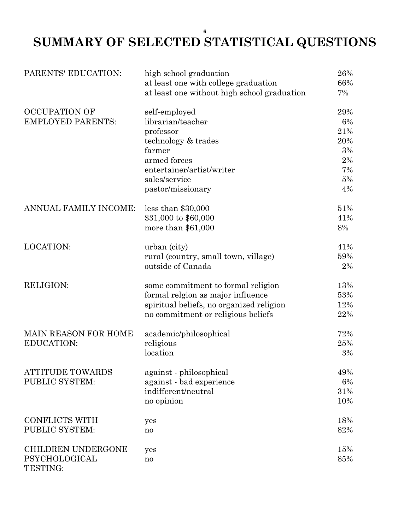### **SUMMARY OF SELECTED STATISTICAL QUESTIONS**

| PARENTS' EDUCATION:              | high school graduation                      | 26%   |
|----------------------------------|---------------------------------------------|-------|
|                                  | at least one with college graduation        | 66%   |
|                                  | at least one without high school graduation | 7%    |
| <b>OCCUPATION OF</b>             | self-employed                               | 29%   |
| <b>EMPLOYED PARENTS:</b>         | librarian/teacher                           | 6%    |
|                                  | professor                                   | 21%   |
|                                  | technology & trades                         | 20%   |
|                                  | farmer                                      | 3%    |
|                                  | armed forces                                | $2\%$ |
|                                  | entertainer/artist/writer                   | 7%    |
|                                  | sales/service                               | 5%    |
|                                  | pastor/missionary                           | 4%    |
| ANNUAL FAMILY INCOME:            | less than $$30,000$                         | 51%   |
|                                  | \$31,000 to \$60,000                        | 41%   |
|                                  | more than $$61,000$                         | 8%    |
| <b>LOCATION:</b>                 | urban (city)                                | 41%   |
|                                  | rural (country, small town, village)        | 59%   |
|                                  | outside of Canada                           | 2%    |
| <b>RELIGION:</b>                 | some commitment to formal religion          | 13%   |
|                                  | formal relgion as major influence           | 53%   |
|                                  | spiritual beliefs, no organized religion    | 12%   |
|                                  | no commitment or religious beliefs          | 22%   |
| <b>MAIN REASON FOR HOME</b>      | academic/philosophical                      | 72%   |
| <b>EDUCATION:</b>                | religious                                   | 25%   |
|                                  | location                                    | 3%    |
| <b>ATTITUDE TOWARDS</b>          | against - philosophical                     | 49%   |
| PUBLIC SYSTEM:                   | against - bad experience                    | 6%    |
|                                  | indifferent/neutral                         | 31%   |
|                                  | no opinion                                  | 10%   |
| <b>CONFLICTS WITH</b>            | yes                                         | 18%   |
| PUBLIC SYSTEM:                   | n <sub>0</sub>                              | 82%   |
| <b>CHILDREN UNDERGONE</b>        | yes                                         | 15%   |
| <b>PSYCHOLOGICAL</b><br>TESTING: | no                                          | 85%   |

**6**